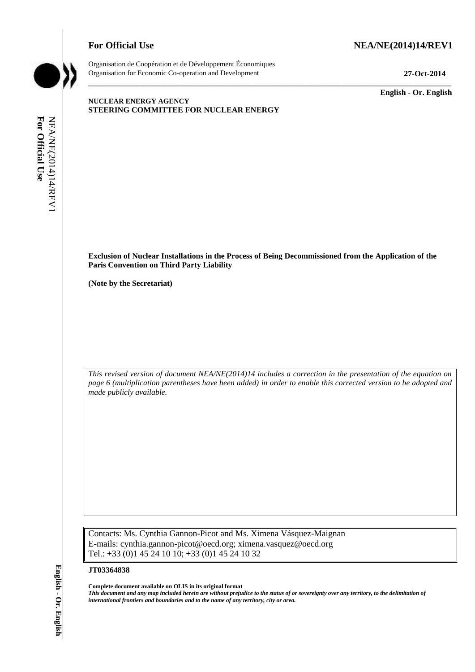## **For Official Use NEA/NE(2014)14/REV1**



Organisation de Coopération et de Développement Économiques Organisation for Economic Co-operation and Development **27-Oct-2014**

\_\_\_\_\_\_\_\_\_\_\_\_\_ **English - Or. English**

## **NUCLEAR ENERGY AGENCY STEERING COMMITTEE FOR NUCLEAR ENERGY**

**Exclusion of Nuclear Installations in the Process of Being Decommissioned from the Application of the Paris Convention on Third Party Liability**

\_\_\_\_\_\_\_\_\_\_\_\_\_\_\_\_\_\_\_\_\_\_\_\_\_\_\_\_\_\_\_\_\_\_\_\_\_\_\_\_\_\_\_\_\_\_\_\_\_\_\_\_\_\_\_\_\_\_\_\_\_\_\_\_\_\_\_\_\_\_\_\_\_\_\_\_\_\_\_\_\_\_\_\_\_\_\_\_\_\_\_

**(Note by the Secretariat)**

*This revised version of document NEA/NE(2014)14 includes a correction in the presentation of the equation on page 6 (multiplication parentheses have been added) in order to enable this corrected version to be adopted and made publicly available.*

Contacts: Ms. Cynthia Gannon-Picot and Ms. Ximena Vásquez-Maignan E-mails: cynthia.gannon-picot@oecd.org; ximena.vasquez@oecd.org Tel.: +33 (0)1 45 24 10 10; +33 (0)1 45 24 10 32 **international frontiers and boundaries and boundaries and boundaries b** *i.e.* **For Official User Convention of Total Party Liability**<br> **Code by the Secretariat)**<br> **For Convert Secretarial**<br> **For Official User Co** 

#### **JT03364838**

**Complete document available on OLIS in its original format**

*This document and any map included herein are without prejudice to the status of or sovereignty over any territory, to the delimitation of*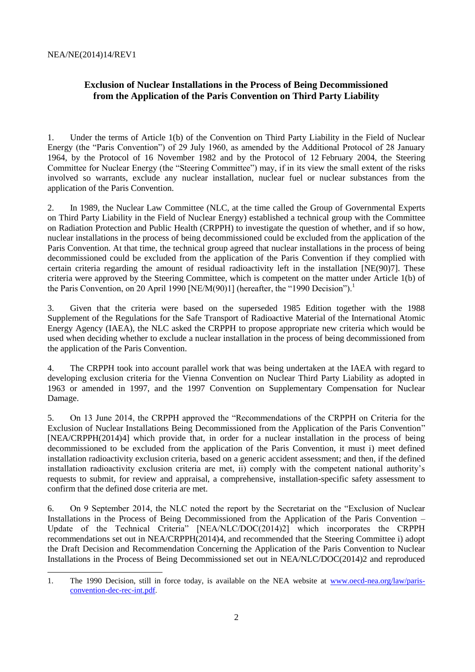# **Exclusion of Nuclear Installations in the Process of Being Decommissioned from the Application of the Paris Convention on Third Party Liability**

1. Under the terms of Article 1(b) of the Convention on Third Party Liability in the Field of Nuclear Energy (the "Paris Convention") of 29 July 1960, as amended by the Additional Protocol of 28 January 1964, by the Protocol of 16 November 1982 and by the Protocol of 12 February 2004, the Steering Committee for Nuclear Energy (the "Steering Committee") may, if in its view the small extent of the risks involved so warrants, exclude any nuclear installation, nuclear fuel or nuclear substances from the application of the Paris Convention.

2. In 1989, the Nuclear Law Committee (NLC, at the time called the Group of Governmental Experts on Third Party Liability in the Field of Nuclear Energy) established a technical group with the Committee on Radiation Protection and Public Health (CRPPH) to investigate the question of whether, and if so how, nuclear installations in the process of being decommissioned could be excluded from the application of the Paris Convention. At that time, the technical group agreed that nuclear installations in the process of being decommissioned could be excluded from the application of the Paris Convention if they complied with certain criteria regarding the amount of residual radioactivity left in the installation [NE(90)7]. These criteria were approved by the Steering Committee, which is competent on the matter under Article 1(b) of the Paris Convention, on 20 April 1990 [NE/M(90)1] (hereafter, the "1990 Decision").<sup>1</sup>

3. Given that the criteria were based on the superseded 1985 Edition together with the 1988 Supplement of the Regulations for the Safe Transport of Radioactive Material of the International Atomic Energy Agency (IAEA), the NLC asked the CRPPH to propose appropriate new criteria which would be used when deciding whether to exclude a nuclear installation in the process of being decommissioned from the application of the Paris Convention.

4. The CRPPH took into account parallel work that was being undertaken at the IAEA with regard to developing exclusion criteria for the Vienna Convention on Nuclear Third Party Liability as adopted in 1963 or amended in 1997, and the 1997 Convention on Supplementary Compensation for Nuclear Damage.

5. On 13 June 2014, the CRPPH approved the "Recommendations of the CRPPH on Criteria for the Exclusion of Nuclear Installations Being Decommissioned from the Application of the Paris Convention" [NEA/CRPPH(2014)4] which provide that, in order for a nuclear installation in the process of being decommissioned to be excluded from the application of the Paris Convention, it must i) meet defined installation radioactivity exclusion criteria, based on a generic accident assessment; and then, if the defined installation radioactivity exclusion criteria are met, ii) comply with the competent national authority's requests to submit, for review and appraisal, a comprehensive, installation-specific safety assessment to confirm that the defined dose criteria are met.

6. On 9 September 2014, the NLC noted the report by the Secretariat on the "Exclusion of Nuclear Installations in the Process of Being Decommissioned from the Application of the Paris Convention – Update of the Technical Criteria" [NEA/NLC/DOC(2014)2] which incorporates the CRPPH recommendations set out in NEA/CRPPH(2014)4, and recommended that the Steering Committee i) adopt the Draft Decision and Recommendation Concerning the Application of the Paris Convention to Nuclear Installations in the Process of Being Decommissioned set out in NEA/NLC/DOC(2014)2 and reproduced

<sup>1.</sup> The 1990 Decision, still in force today, is available on the NEA website at [www.oecd-nea.org/law/paris](file://nasoa.nea.fr/group/NEALEG/Legal%20Affairs%20Section%20Files/THIRD%20PARTY%20LIABILITY%20CONVENTIONS/PARIS-BRUSSELS%20REGIME/5-%20Exclusions/Installations%20being%20decommissioned/2014%20Update/3-%20NLC%20written%20procedure/OLIS/www.oecd-nea.org/law/paris-convention-dec-rec-int.pdf)[convention-dec-rec-int.pdf](file://nasoa.nea.fr/group/NEALEG/Legal%20Affairs%20Section%20Files/THIRD%20PARTY%20LIABILITY%20CONVENTIONS/PARIS-BRUSSELS%20REGIME/5-%20Exclusions/Installations%20being%20decommissioned/2014%20Update/3-%20NLC%20written%20procedure/OLIS/www.oecd-nea.org/law/paris-convention-dec-rec-int.pdf).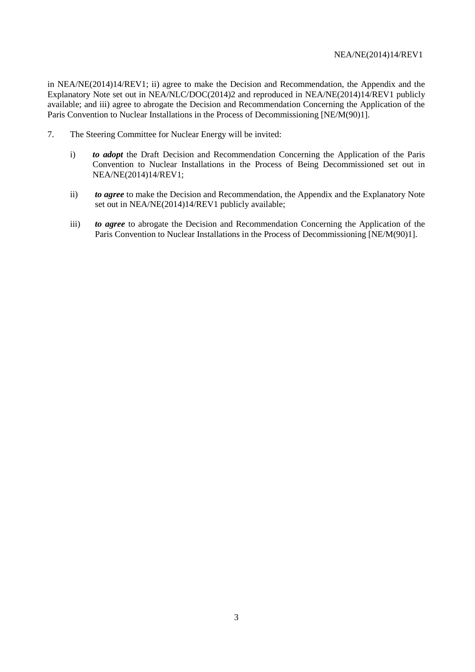in NEA/NE(2014)14/REV1; ii) agree to make the Decision and Recommendation, the Appendix and the Explanatory Note set out in NEA/NLC/DOC(2014)2 and reproduced in NEA/NE(2014)14/REV1 publicly available; and iii) agree to abrogate the Decision and Recommendation Concerning the Application of the Paris Convention to Nuclear Installations in the Process of Decommissioning [NE/M(90)1].

- 7. The Steering Committee for Nuclear Energy will be invited:
	- i) *to adopt* the Draft Decision and Recommendation Concerning the Application of the Paris Convention to Nuclear Installations in the Process of Being Decommissioned set out in NEA/NE(2014)14/REV1;
	- ii) *to agree* to make the Decision and Recommendation, the Appendix and the Explanatory Note set out in NEA/NE(2014)14/REV1 publicly available;
	- iii) *to agree* to abrogate the Decision and Recommendation Concerning the Application of the Paris Convention to Nuclear Installations in the Process of Decommissioning [NE/M(90)1].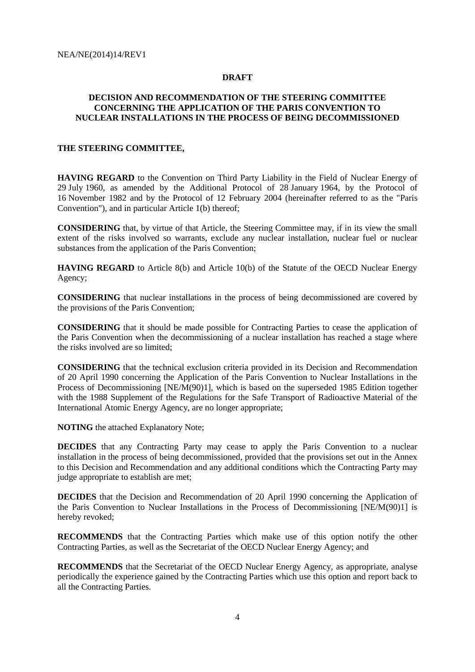## **DRAFT**

## **DECISION AND RECOMMENDATION OF THE STEERING COMMITTEE CONCERNING THE APPLICATION OF THE PARIS CONVENTION TO NUCLEAR INSTALLATIONS IN THE PROCESS OF BEING DECOMMISSIONED**

## **THE STEERING COMMITTEE,**

**HAVING REGARD** to the Convention on Third Party Liability in the Field of Nuclear Energy of 29 July 1960, as amended by the Additional Protocol of 28 January 1964, by the Protocol of 16 November 1982 and by the Protocol of 12 February 2004 (hereinafter referred to as the "Paris Convention"), and in particular Article 1(b) thereof;

**CONSIDERING** that, by virtue of that Article, the Steering Committee may, if in its view the small extent of the risks involved so warrants, exclude any nuclear installation, nuclear fuel or nuclear substances from the application of the Paris Convention;

**HAVING REGARD** to Article 8(b) and Article 10(b) of the Statute of the OECD Nuclear Energy Agency;

**CONSIDERING** that nuclear installations in the process of being decommissioned are covered by the provisions of the Paris Convention;

**CONSIDERING** that it should be made possible for Contracting Parties to cease the application of the Paris Convention when the decommissioning of a nuclear installation has reached a stage where the risks involved are so limited;

**CONSIDERING** that the technical exclusion criteria provided in its Decision and Recommendation of 20 April 1990 concerning the Application of the Paris Convention to Nuclear Installations in the Process of Decommissioning [NE/M(90)1], which is based on the superseded 1985 Edition together with the 1988 Supplement of the Regulations for the Safe Transport of Radioactive Material of the International Atomic Energy Agency, are no longer appropriate;

**NOTING** the attached Explanatory Note;

**DECIDES** that any Contracting Party may cease to apply the Paris Convention to a nuclear installation in the process of being decommissioned, provided that the provisions set out in the Annex to this Decision and Recommendation and any additional conditions which the Contracting Party may judge appropriate to establish are met;

**DECIDES** that the Decision and Recommendation of 20 April 1990 concerning the Application of the Paris Convention to Nuclear Installations in the Process of Decommissioning [NE/M(90)1] is hereby revoked;

**RECOMMENDS** that the Contracting Parties which make use of this option notify the other Contracting Parties, as well as the Secretariat of the OECD Nuclear Energy Agency; and

**RECOMMENDS** that the Secretariat of the OECD Nuclear Energy Agency, as appropriate, analyse periodically the experience gained by the Contracting Parties which use this option and report back to all the Contracting Parties.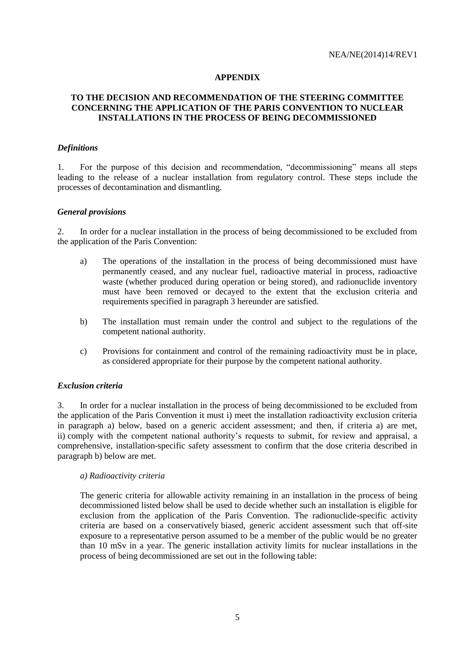## **APPENDIX**

## **TO THE DECISION AND RECOMMENDATION OF THE STEERING COMMITTEE CONCERNING THE APPLICATION OF THE PARIS CONVENTION TO NUCLEAR INSTALLATIONS IN THE PROCESS OF BEING DECOMMISSIONED**

## *Definitions*

1. For the purpose of this decision and recommendation, "decommissioning" means all steps leading to the release of a nuclear installation from regulatory control. These steps include the processes of decontamination and dismantling.

## *General provisions*

2. In order for a nuclear installation in the process of being decommissioned to be excluded from the application of the Paris Convention:

- a) The operations of the installation in the process of being decommissioned must have permanently ceased, and any nuclear fuel, radioactive material in process, radioactive waste (whether produced during operation or being stored), and radionuclide inventory must have been removed or decayed to the extent that the exclusion criteria and requirements specified in paragraph 3 hereunder are satisfied.
- b) The installation must remain under the control and subject to the regulations of the competent national authority.
- c) Provisions for containment and control of the remaining radioactivity must be in place, as considered appropriate for their purpose by the competent national authority.

#### *Exclusion criteria*

3. In order for a nuclear installation in the process of being decommissioned to be excluded from the application of the Paris Convention it must i) meet the installation radioactivity exclusion criteria in paragraph a) below, based on a generic accident assessment; and then, if criteria a) are met, ii) comply with the competent national authority's requests to submit, for review and appraisal, a comprehensive, installation-specific safety assessment to confirm that the dose criteria described in paragraph b) below are met.

## *a) Radioactivity criteria*

The generic criteria for allowable activity remaining in an installation in the process of being decommissioned listed below shall be used to decide whether such an installation is eligible for exclusion from the application of the Paris Convention. The radionuclide-specific activity criteria are based on a conservatively biased, generic accident assessment such that off-site exposure to a representative person assumed to be a member of the public would be no greater than 10 mSv in a year. The generic installation activity limits for nuclear installations in the process of being decommissioned are set out in the following table: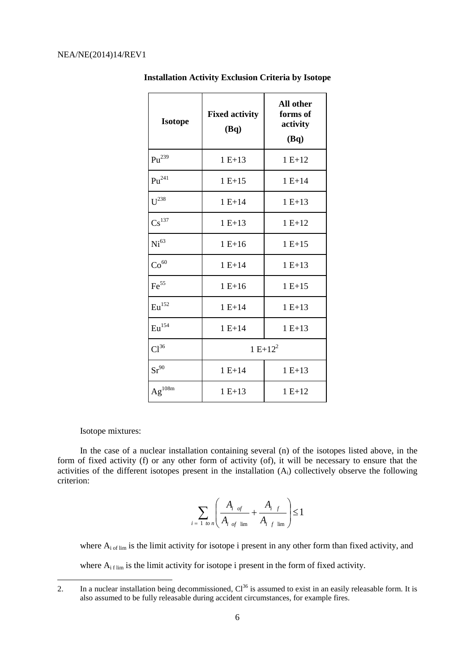| <b>Isotope</b>      | <b>Fixed activity</b><br>(Bq) | All other<br>forms of<br>activity<br>(Bq) |  |
|---------------------|-------------------------------|-------------------------------------------|--|
| $\mathrm{Pu}^{239}$ | $1 E+13$                      | $1 E+12$                                  |  |
| $Pu^{241}$          | $1 E + 15$                    | $1 E + 14$                                |  |
| $U^{238}$           | $1 E + 14$                    | $1 E+13$                                  |  |
| $\text{Cs}^{137}$   | $1 E+13$                      | $1 E + 12$                                |  |
| Ni <sup>63</sup>    | $1 E+16$                      | $1 E+15$                                  |  |
| $\mathrm{Co}^{60}$  | $1 E + 14$                    | $1 E + 13$                                |  |
| $\mathrm{Fe}^{55}$  | $1 E + 16$                    | $1 E + 15$                                |  |
| $\mathrm{Eu}^{152}$ | $1 E + 14$                    | $1 E + 13$                                |  |
| $\mathrm{Eu}^{154}$ | $1 E+14$                      | $1 E+13$                                  |  |
| Cl <sup>36</sup>    | $1 E+12^2$                    |                                           |  |
| $Sr^{90}$           | $1 E + 14$                    | $1 E + 13$                                |  |
| $Ag^{108m}$         | $1 E+13$                      | $1 E + 12$                                |  |

**Installation Activity Exclusion Criteria by Isotope**

## Isotope mixtures:

1

In the case of a nuclear installation containing several (n) of the isotopes listed above, in the form of fixed activity (f) or any other form of activity (of), it will be necessary to ensure that the activities of the different isotopes present in the installation (Ai) collectively observe the following criterion:

 $\overline{a}$ 

$$
\sum_{i=1 \text{ to } n} \left( \frac{A_{i \text{ of }}}{A_{i \text{ of } \lim}} + \frac{A_{i \text{ } f}}{A_{i \text{ } f} \lim} \right) \leq 1
$$

where  $A_{i}$ <sub>of lim</sub> is the limit activity for isotope i present in any other form than fixed activity, and where  $A_{if\,lim}$  is the limit activity for isotope i present in the form of fixed activity.

<sup>2.</sup> In a nuclear installation being decommissioned,  $Cl^{36}$  is assumed to exist in an easily releasable form. It is also assumed to be fully releasable during accident circumstances, for example fires.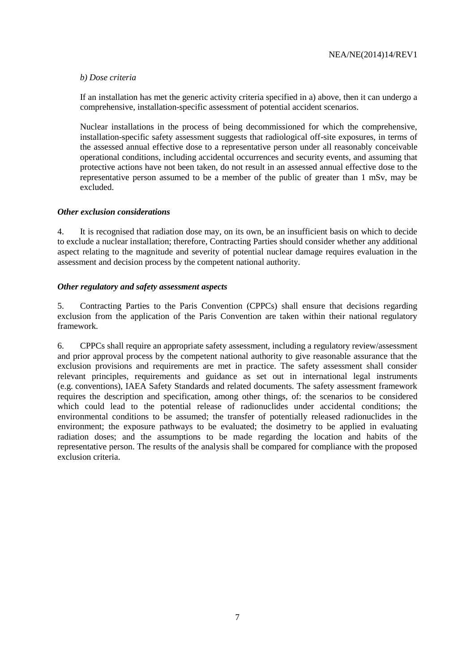## *b) Dose criteria*

If an installation has met the generic activity criteria specified in a) above, then it can undergo a comprehensive, installation-specific assessment of potential accident scenarios.

Nuclear installations in the process of being decommissioned for which the comprehensive, installation-specific safety assessment suggests that radiological off-site exposures, in terms of the assessed annual effective dose to a representative person under all reasonably conceivable operational conditions, including accidental occurrences and security events, and assuming that protective actions have not been taken, do not result in an assessed annual effective dose to the representative person assumed to be a member of the public of greater than 1 mSv, may be excluded.

## *Other exclusion considerations*

4. It is recognised that radiation dose may, on its own, be an insufficient basis on which to decide to exclude a nuclear installation; therefore, Contracting Parties should consider whether any additional aspect relating to the magnitude and severity of potential nuclear damage requires evaluation in the assessment and decision process by the competent national authority.

## *Other regulatory and safety assessment aspects*

5. Contracting Parties to the Paris Convention (CPPCs) shall ensure that decisions regarding exclusion from the application of the Paris Convention are taken within their national regulatory framework.

6. CPPCs shall require an appropriate safety assessment, including a regulatory review/assessment and prior approval process by the competent national authority to give reasonable assurance that the exclusion provisions and requirements are met in practice. The safety assessment shall consider relevant principles, requirements and guidance as set out in international legal instruments (e.g. conventions), IAEA Safety Standards and related documents. The safety assessment framework requires the description and specification, among other things, of: the scenarios to be considered which could lead to the potential release of radionuclides under accidental conditions; the environmental conditions to be assumed; the transfer of potentially released radionuclides in the environment; the exposure pathways to be evaluated; the dosimetry to be applied in evaluating radiation doses; and the assumptions to be made regarding the location and habits of the representative person. The results of the analysis shall be compared for compliance with the proposed exclusion criteria.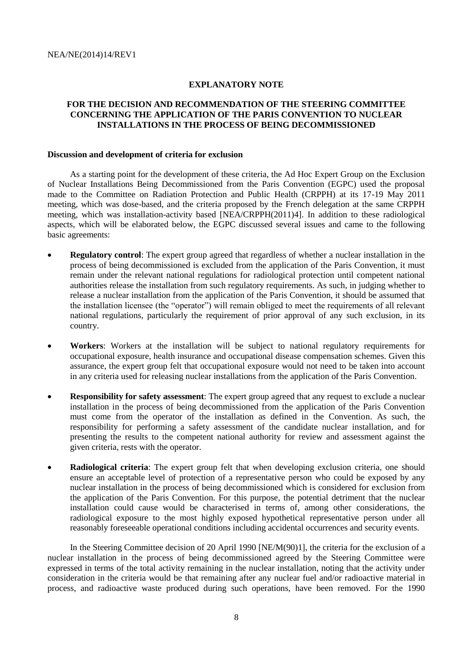#### **EXPLANATORY NOTE**

## **FOR THE DECISION AND RECOMMENDATION OF THE STEERING COMMITTEE CONCERNING THE APPLICATION OF THE PARIS CONVENTION TO NUCLEAR INSTALLATIONS IN THE PROCESS OF BEING DECOMMISSIONED**

#### **Discussion and development of criteria for exclusion**

As a starting point for the development of these criteria, the Ad Hoc Expert Group on the Exclusion of Nuclear Installations Being Decommissioned from the Paris Convention (EGPC) used the proposal made to the Committee on Radiation Protection and Public Health (CRPPH) at its 17-19 May 2011 meeting, which was dose-based, and the criteria proposed by the French delegation at the same CRPPH meeting, which was installation-activity based [NEA/CRPPH(2011)4]. In addition to these radiological aspects, which will be elaborated below, the EGPC discussed several issues and came to the following basic agreements:

- **Regulatory control**: The expert group agreed that regardless of whether a nuclear installation in the process of being decommissioned is excluded from the application of the Paris Convention, it must remain under the relevant national regulations for radiological protection until competent national authorities release the installation from such regulatory requirements. As such, in judging whether to release a nuclear installation from the application of the Paris Convention, it should be assumed that the installation licensee (the "operator") will remain obliged to meet the requirements of all relevant national regulations, particularly the requirement of prior approval of any such exclusion, in its country.
- **Workers**: Workers at the installation will be subject to national regulatory requirements for occupational exposure, health insurance and occupational disease compensation schemes. Given this assurance, the expert group felt that occupational exposure would not need to be taken into account in any criteria used for releasing nuclear installations from the application of the Paris Convention.
- **Responsibility for safety assessment**: The expert group agreed that any request to exclude a nuclear installation in the process of being decommissioned from the application of the Paris Convention must come from the operator of the installation as defined in the Convention. As such, the responsibility for performing a safety assessment of the candidate nuclear installation, and for presenting the results to the competent national authority for review and assessment against the given criteria, rests with the operator.
- **Radiological criteria**: The expert group felt that when developing exclusion criteria, one should ensure an acceptable level of protection of a representative person who could be exposed by any nuclear installation in the process of being decommissioned which is considered for exclusion from the application of the Paris Convention. For this purpose, the potential detriment that the nuclear installation could cause would be characterised in terms of, among other considerations, the radiological exposure to the most highly exposed hypothetical representative person under all reasonably foreseeable operational conditions including accidental occurrences and security events.

In the Steering Committee decision of 20 April 1990 [NE/M(90)1], the criteria for the exclusion of a nuclear installation in the process of being decommissioned agreed by the Steering Committee were expressed in terms of the total activity remaining in the nuclear installation, noting that the activity under consideration in the criteria would be that remaining after any nuclear fuel and/or radioactive material in process, and radioactive waste produced during such operations, have been removed. For the 1990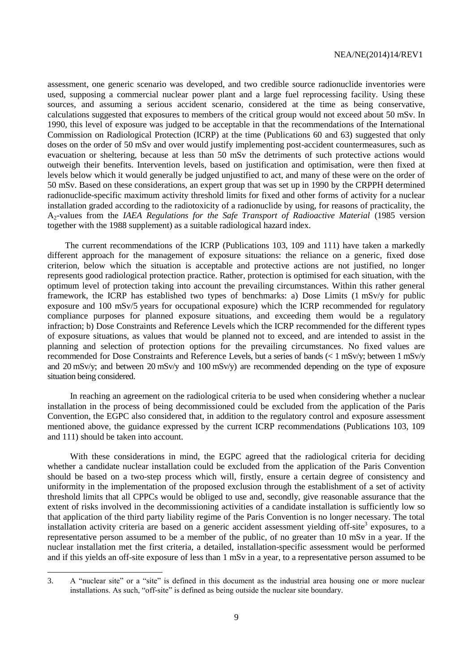assessment, one generic scenario was developed, and two credible source radionuclide inventories were used, supposing a commercial nuclear power plant and a large fuel reprocessing facility. Using these sources, and assuming a serious accident scenario, considered at the time as being conservative, calculations suggested that exposures to members of the critical group would not exceed about 50 mSv. In 1990, this level of exposure was judged to be acceptable in that the recommendations of the International Commission on Radiological Protection (ICRP) at the time (Publications 60 and 63) suggested that only doses on the order of 50 mSv and over would justify implementing post-accident countermeasures, such as evacuation or sheltering, because at less than 50 mSv the detriments of such protective actions would outweigh their benefits. Intervention levels, based on justification and optimisation, were then fixed at levels below which it would generally be judged unjustified to act, and many of these were on the order of 50 mSv. Based on these considerations, an expert group that was set up in 1990 by the CRPPH determined radionuclide-specific maximum activity threshold limits for fixed and other forms of activity for a nuclear installation graded according to the radiotoxicity of a radionuclide by using, for reasons of practicality, the A2-values from the *IAEA Regulations for the Safe Transport of Radioactive Material* (1985 version together with the 1988 supplement) as a suitable radiological hazard index.

The current recommendations of the ICRP (Publications 103, 109 and 111) have taken a markedly different approach for the management of exposure situations: the reliance on a generic, fixed dose criterion, below which the situation is acceptable and protective actions are not justified, no longer represents good radiological protection practice. Rather, protection is optimised for each situation, with the optimum level of protection taking into account the prevailing circumstances. Within this rather general framework, the ICRP has established two types of benchmarks: a) Dose Limits (1 mSv/y for public exposure and 100 mSv/5 years for occupational exposure) which the ICRP recommended for regulatory compliance purposes for planned exposure situations, and exceeding them would be a regulatory infraction; b) Dose Constraints and Reference Levels which the ICRP recommended for the different types of exposure situations, as values that would be planned not to exceed, and are intended to assist in the planning and selection of protection options for the prevailing circumstances. No fixed values are recommended for Dose Constraints and Reference Levels, but a series of bands (< 1 mSv/y; between 1 mSv/y and 20 mSv/y; and between 20 mSv/y and 100 mSv/y) are recommended depending on the type of exposure situation being considered.

In reaching an agreement on the radiological criteria to be used when considering whether a nuclear installation in the process of being decommissioned could be excluded from the application of the Paris Convention, the EGPC also considered that, in addition to the regulatory control and exposure assessment mentioned above, the guidance expressed by the current ICRP recommendations (Publications 103, 109 and 111) should be taken into account.

With these considerations in mind, the EGPC agreed that the radiological criteria for deciding whether a candidate nuclear installation could be excluded from the application of the Paris Convention should be based on a two-step process which will, firstly, ensure a certain degree of consistency and uniformity in the implementation of the proposed exclusion through the establishment of a set of activity threshold limits that all CPPCs would be obliged to use and, secondly, give reasonable assurance that the extent of risks involved in the decommissioning activities of a candidate installation is sufficiently low so that application of the third party liability regime of the Paris Convention is no longer necessary. The total installation activity criteria are based on a generic accident assessment yielding off-site<sup>3</sup> exposures, to a representative person assumed to be a member of the public, of no greater than 10 mSv in a year. If the nuclear installation met the first criteria, a detailed, installation-specific assessment would be performed and if this yields an off-site exposure of less than 1 mSv in a year, to a representative person assumed to be

<sup>3.</sup> A "nuclear site" or a "site" is defined in this document as the industrial area housing one or more nuclear installations. As such, "off-site" is defined as being outside the nuclear site boundary.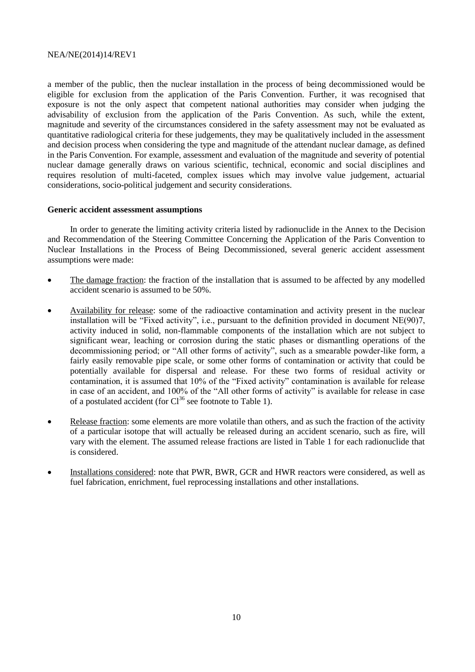a member of the public, then the nuclear installation in the process of being decommissioned would be eligible for exclusion from the application of the Paris Convention. Further, it was recognised that exposure is not the only aspect that competent national authorities may consider when judging the advisability of exclusion from the application of the Paris Convention. As such, while the extent, magnitude and severity of the circumstances considered in the safety assessment may not be evaluated as quantitative radiological criteria for these judgements, they may be qualitatively included in the assessment and decision process when considering the type and magnitude of the attendant nuclear damage, as defined in the Paris Convention. For example, assessment and evaluation of the magnitude and severity of potential nuclear damage generally draws on various scientific, technical, economic and social disciplines and requires resolution of multi-faceted, complex issues which may involve value judgement, actuarial considerations, socio-political judgement and security considerations.

#### **Generic accident assessment assumptions**

In order to generate the limiting activity criteria listed by radionuclide in the Annex to the Decision and Recommendation of the Steering Committee Concerning the Application of the Paris Convention to Nuclear Installations in the Process of Being Decommissioned, several generic accident assessment assumptions were made:

- The damage fraction: the fraction of the installation that is assumed to be affected by any modelled accident scenario is assumed to be 50%.
- Availability for release: some of the radioactive contamination and activity present in the nuclear installation will be "Fixed activity", i.e., pursuant to the definition provided in document NE(90)7, activity induced in solid, non-flammable components of the installation which are not subject to significant wear, leaching or corrosion during the static phases or dismantling operations of the decommissioning period; or "All other forms of activity", such as a smearable powder-like form, a fairly easily removable pipe scale, or some other forms of contamination or activity that could be potentially available for dispersal and release. For these two forms of residual activity or contamination, it is assumed that 10% of the "Fixed activity" contamination is available for release in case of an accident, and 100% of the "All other forms of activity" is available for release in case of a postulated accident (for  $Cl^{36}$  see footnote to Table 1).
- Release fraction: some elements are more volatile than others, and as such the fraction of the activity of a particular isotope that will actually be released during an accident scenario, such as fire, will vary with the element. The assumed release fractions are listed in Table 1 for each radionuclide that is considered.
- Installations considered: note that PWR, BWR, GCR and HWR reactors were considered, as well as fuel fabrication, enrichment, fuel reprocessing installations and other installations.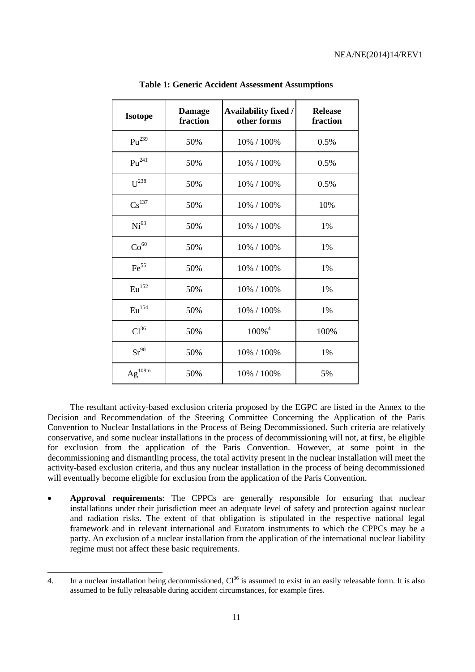| <b>Isotope</b>     | <b>Damage</b><br>fraction | Availability fixed /<br>other forms | <b>Release</b><br>fraction |
|--------------------|---------------------------|-------------------------------------|----------------------------|
| $Pu^{239}$         | 50%                       | 10% / 100%                          | 0.5%                       |
| $Pu^{241}$         | 50%                       | 10% / 100%                          | 0.5%                       |
| $U^{238}$          | 50%                       | 10% / 100%                          | 0.5%                       |
| $\text{Cs}^{137}$  | 50%                       | 10% / 100%                          | 10%                        |
| Ni <sup>63</sup>   | 50%                       | 10% / 100%                          | 1%                         |
| Co <sup>60</sup>   | 50%                       | 10% / 100%                          | 1%                         |
| $\mathrm{Fe}^{55}$ | 50%                       | 10% / 100%                          | 1%                         |
| Eu <sup>152</sup>  | 50%                       | 10% / 100%                          | 1%                         |
| Eu <sup>154</sup>  | 50%                       | 10% / 100%                          | 1%                         |
| Cl <sup>36</sup>   | 50%                       | $100\%$ <sup>4</sup>                | 100%                       |
| $Sr^{90}$          | 50%                       | 10% / 100%                          | 1%                         |
| $Ag^{108m}$        | 50%                       | 10% / 100%                          | 5%                         |

**Table 1: Generic Accident Assessment Assumptions**

The resultant activity-based exclusion criteria proposed by the EGPC are listed in the Annex to the Decision and Recommendation of the Steering Committee Concerning the Application of the Paris Convention to Nuclear Installations in the Process of Being Decommissioned. Such criteria are relatively conservative, and some nuclear installations in the process of decommissioning will not, at first, be eligible for exclusion from the application of the Paris Convention. However, at some point in the decommissioning and dismantling process, the total activity present in the nuclear installation will meet the activity-based exclusion criteria, and thus any nuclear installation in the process of being decommissioned will eventually become eligible for exclusion from the application of the Paris Convention.

 **Approval requirements**: The CPPCs are generally responsible for ensuring that nuclear installations under their jurisdiction meet an adequate level of safety and protection against nuclear and radiation risks. The extent of that obligation is stipulated in the respective national legal framework and in relevant international and Euratom instruments to which the CPPCs may be a party. An exclusion of a nuclear installation from the application of the international nuclear liability regime must not affect these basic requirements.

<sup>4.</sup> In a nuclear installation being decommissioned,  $Cl^{36}$  is assumed to exist in an easily releasable form. It is also assumed to be fully releasable during accident circumstances, for example fires.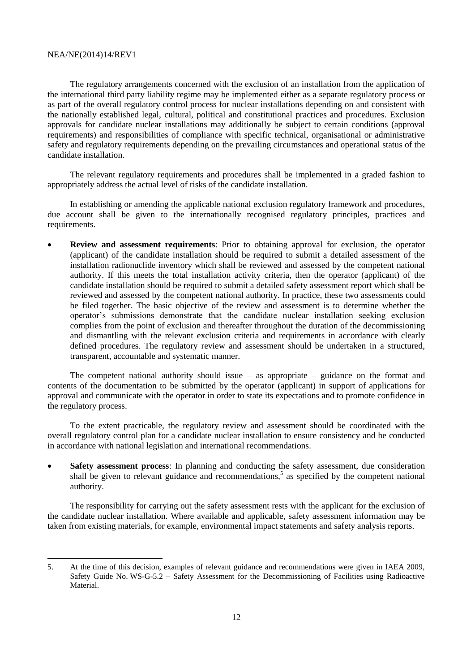The regulatory arrangements concerned with the exclusion of an installation from the application of the international third party liability regime may be implemented either as a separate regulatory process or as part of the overall regulatory control process for nuclear installations depending on and consistent with the nationally established legal, cultural, political and constitutional practices and procedures. Exclusion approvals for candidate nuclear installations may additionally be subject to certain conditions (approval requirements) and responsibilities of compliance with specific technical, organisational or administrative safety and regulatory requirements depending on the prevailing circumstances and operational status of the candidate installation.

The relevant regulatory requirements and procedures shall be implemented in a graded fashion to appropriately address the actual level of risks of the candidate installation.

In establishing or amending the applicable national exclusion regulatory framework and procedures, due account shall be given to the internationally recognised regulatory principles, practices and requirements.

 **Review and assessment requirements**: Prior to obtaining approval for exclusion, the operator (applicant) of the candidate installation should be required to submit a detailed assessment of the installation radionuclide inventory which shall be reviewed and assessed by the competent national authority. If this meets the total installation activity criteria, then the operator (applicant) of the candidate installation should be required to submit a detailed safety assessment report which shall be reviewed and assessed by the competent national authority. In practice, these two assessments could be filed together. The basic objective of the review and assessment is to determine whether the operator's submissions demonstrate that the candidate nuclear installation seeking exclusion complies from the point of exclusion and thereafter throughout the duration of the decommissioning and dismantling with the relevant exclusion criteria and requirements in accordance with clearly defined procedures. The regulatory review and assessment should be undertaken in a structured, transparent, accountable and systematic manner.

The competent national authority should issue – as appropriate – guidance on the format and contents of the documentation to be submitted by the operator (applicant) in support of applications for approval and communicate with the operator in order to state its expectations and to promote confidence in the regulatory process.

To the extent practicable, the regulatory review and assessment should be coordinated with the overall regulatory control plan for a candidate nuclear installation to ensure consistency and be conducted in accordance with national legislation and international recommendations.

 **Safety assessment process**: In planning and conducting the safety assessment, due consideration shall be given to relevant guidance and recommendations,<sup>5</sup> as specified by the competent national authority.

The responsibility for carrying out the safety assessment rests with the applicant for the exclusion of the candidate nuclear installation. Where available and applicable, safety assessment information may be taken from existing materials, for example, environmental impact statements and safety analysis reports.

<sup>5.</sup> At the time of this decision, examples of relevant guidance and recommendations were given in IAEA 2009, Safety Guide No. WS-G-5.2 – Safety Assessment for the Decommissioning of Facilities using Radioactive Material.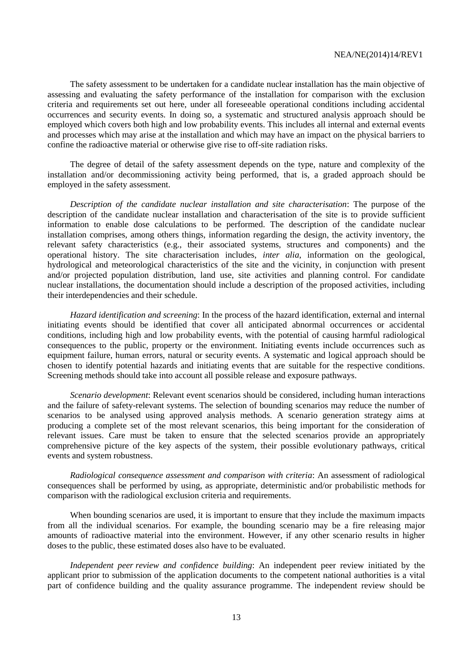The safety assessment to be undertaken for a candidate nuclear installation has the main objective of assessing and evaluating the safety performance of the installation for comparison with the exclusion criteria and requirements set out here, under all foreseeable operational conditions including accidental occurrences and security events. In doing so, a systematic and structured analysis approach should be employed which covers both high and low probability events. This includes all internal and external events and processes which may arise at the installation and which may have an impact on the physical barriers to confine the radioactive material or otherwise give rise to off-site radiation risks.

The degree of detail of the safety assessment depends on the type, nature and complexity of the installation and/or decommissioning activity being performed, that is, a graded approach should be employed in the safety assessment.

*Description of the candidate nuclear installation and site characterisation*: The purpose of the description of the candidate nuclear installation and characterisation of the site is to provide sufficient information to enable dose calculations to be performed. The description of the candidate nuclear installation comprises, among others things, information regarding the design, the activity inventory, the relevant safety characteristics (e.g., their associated systems, structures and components) and the operational history. The site characterisation includes, *inter alia*, information on the geological, hydrological and meteorological characteristics of the site and the vicinity, in conjunction with present and/or projected population distribution, land use, site activities and planning control. For candidate nuclear installations, the documentation should include a description of the proposed activities, including their interdependencies and their schedule.

*Hazard identification and screening*: In the process of the hazard identification, external and internal initiating events should be identified that cover all anticipated abnormal occurrences or accidental conditions, including high and low probability events, with the potential of causing harmful radiological consequences to the public, property or the environment. Initiating events include occurrences such as equipment failure, human errors, natural or security events. A systematic and logical approach should be chosen to identify potential hazards and initiating events that are suitable for the respective conditions. Screening methods should take into account all possible release and exposure pathways.

*Scenario development*: Relevant event scenarios should be considered, including human interactions and the failure of safety-relevant systems. The selection of bounding scenarios may reduce the number of scenarios to be analysed using approved analysis methods. A scenario generation strategy aims at producing a complete set of the most relevant scenarios, this being important for the consideration of relevant issues. Care must be taken to ensure that the selected scenarios provide an appropriately comprehensive picture of the key aspects of the system, their possible evolutionary pathways, critical events and system robustness.

*Radiological consequence assessment and comparison with criteria*: An assessment of radiological consequences shall be performed by using, as appropriate, deterministic and/or probabilistic methods for comparison with the radiological exclusion criteria and requirements.

When bounding scenarios are used, it is important to ensure that they include the maximum impacts from all the individual scenarios. For example, the bounding scenario may be a fire releasing major amounts of radioactive material into the environment. However, if any other scenario results in higher doses to the public, these estimated doses also have to be evaluated.

*Independent peer review and confidence building*: An independent peer review initiated by the applicant prior to submission of the application documents to the competent national authorities is a vital part of confidence building and the quality assurance programme. The independent review should be